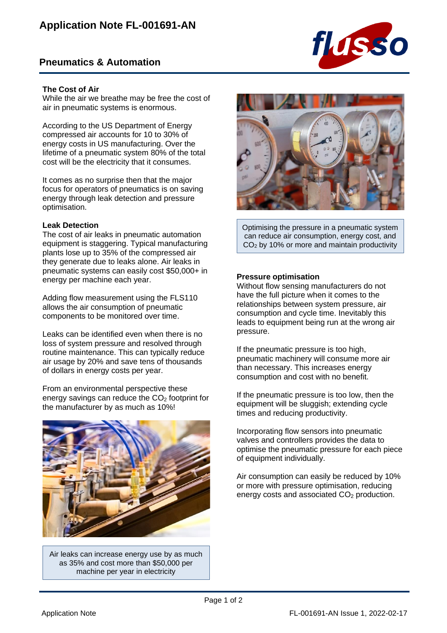# **Pneumatics & Automation**



## **The Cost of Air**

While the air we breathe may be free the cost of air in pneumatic systems is enormous.

According to the US Department of Energy compressed air accounts for 10 to 30% of energy costs in US manufacturing. Over the lifetime of a pneumatic system 80% of the total cost will be the electricity that it consumes.

It comes as no surprise then that the major focus for operators of pneumatics is on saving energy through leak detection and pressure optimisation.

## **Leak Detection**

The cost of air leaks in pneumatic automation equipment is staggering. Typical manufacturing plants lose up to 35% of the compressed air they generate due to leaks alone. Air leaks in pneumatic systems can easily cost \$50,000+ in energy per machine each year.

Adding flow measurement using the FLS110 allows the air consumption of pneumatic components to be monitored over time.

Leaks can be identified even when there is no loss of system pressure and resolved through routine maintenance. This can typically reduce air usage by 20% and save tens of thousands of dollars in energy costs per year.

From an environmental perspective these energy savings can reduce the CO<sub>2</sub> footprint for the manufacturer by as much as 10%!



Air leaks can increase energy use by as much as 35% and cost more than \$50,000 per machine per year in electricity



Optimising the pressure in a pneumatic system can reduce air consumption, energy cost, and CO<sup>2</sup> by 10% or more and maintain productivity

## **Pressure optimisation**

Without flow sensing manufacturers do not have the full picture when it comes to the relationships between system pressure, air consumption and cycle time. Inevitably this leads to equipment being run at the wrong air pressure.

If the pneumatic pressure is too high, pneumatic machinery will consume more air than necessary. This increases energy consumption and cost with no benefit.

If the pneumatic pressure is too low, then the equipment will be sluggish; extending cycle times and reducing productivity.

Incorporating flow sensors into pneumatic valves and controllers provides the data to optimise the pneumatic pressure for each piece of equipment individually.

Air consumption can easily be reduced by 10% or more with pressure optimisation, reducing energy costs and associated  $CO<sub>2</sub>$  production.